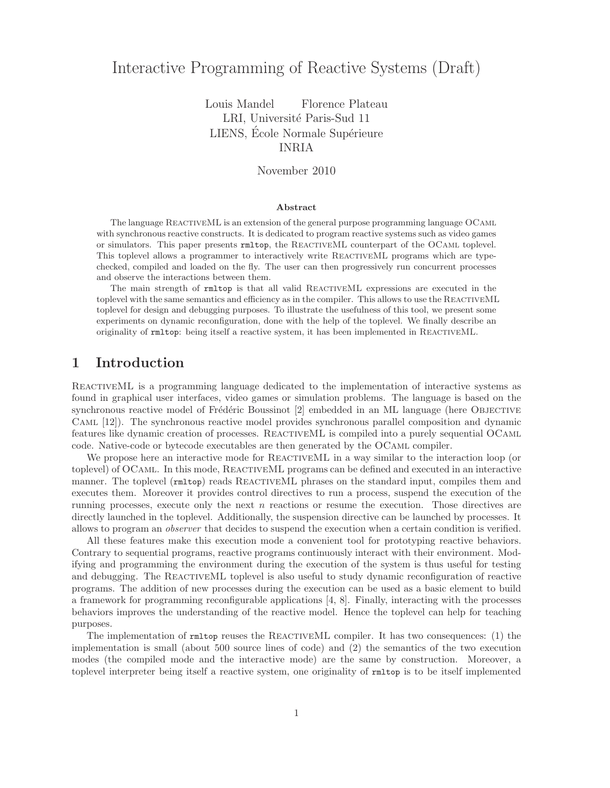# Interactive Programming of Reactive Systems (Draft)

Louis Mandel Florence Plateau LRI, Université Paris-Sud 11 LIENS, École Normale Supérieure INRIA

November 2010

### Abstract

The language ReactiveML is an extension of the general purpose programming language OCaml with synchronous reactive constructs. It is dedicated to program reactive systems such as video games or simulators. This paper presents rmltop, the ReactiveML counterpart of the OCaml toplevel. This toplevel allows a programmer to interactively write ReactiveML programs which are typechecked, compiled and loaded on the fly. The user can then progressively run concurrent processes and observe the interactions between them.

The main strength of rmltop is that all valid REACTIVEML expressions are executed in the toplevel with the same semantics and efficiency as in the compiler. This allows to use the ReactiveML toplevel for design and debugging purposes. To illustrate the usefulness of this tool, we present some experiments on dynamic reconfiguration, done with the help of the toplevel. We finally describe an originality of rmltop: being itself a reactive system, it has been implemented in ReactiveML.

# 1 Introduction

REACTIVEML is a programming language dedicated to the implementation of interactive systems as found in graphical user interfaces, video games or simulation problems. The language is based on the synchronous reactive model of Frédéric Boussinot  $[2]$  embedded in an ML language (here Objective Caml [12]). The synchronous reactive model provides synchronous parallel composition and dynamic features like dynamic creation of processes. ReactiveML is compiled into a purely sequential OCaml code. Native-code or bytecode executables are then generated by the OCaml compiler.

We propose here an interactive mode for REACTIVEML in a way similar to the interaction loop (or toplevel) of OCaml. In this mode, ReactiveML programs can be defined and executed in an interactive manner. The toplevel ( $rmt_{\text{m1top}}$ ) reads REACTIVEML phrases on the standard input, compiles them and executes them. Moreover it provides control directives to run a process, suspend the execution of the running processes, execute only the next  $n$  reactions or resume the execution. Those directives are directly launched in the toplevel. Additionally, the suspension directive can be launched by processes. It allows to program an observer that decides to suspend the execution when a certain condition is verified.

All these features make this execution mode a convenient tool for prototyping reactive behaviors. Contrary to sequential programs, reactive programs continuously interact with their environment. Modifying and programming the environment during the execution of the system is thus useful for testing and debugging. The REACTIVEML toplevel is also useful to study dynamic reconfiguration of reactive programs. The addition of new processes during the execution can be used as a basic element to build a framework for programming reconfigurable applications [4, 8]. Finally, interacting with the processes behaviors improves the understanding of the reactive model. Hence the toplevel can help for teaching purposes.

The implementation of rmltop reuses the REACTIVEML compiler. It has two consequences: (1) the implementation is small (about 500 source lines of code) and (2) the semantics of the two execution modes (the compiled mode and the interactive mode) are the same by construction. Moreover, a toplevel interpreter being itself a reactive system, one originality of rmltop is to be itself implemented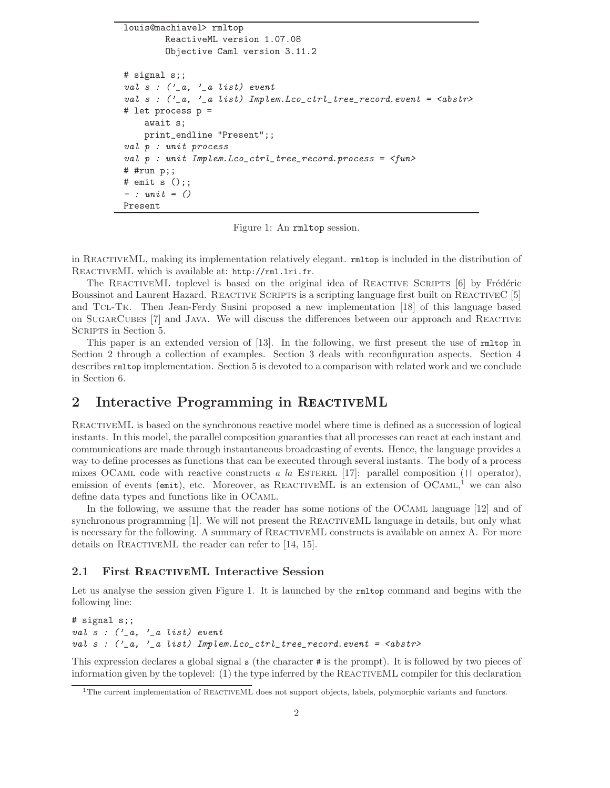```
louis@machiavel> rmltop
        ReactiveML version 1.07.08
        Objective Caml version 3.11.2
# signal s;;
val s : ('_a, '_a list) event
val s : (2a, 2a list) Implem. Lco_ctrl_tree_record.event = <abstr>
# let process p =
    await s;
    print_endline "Present";;
val p : unit process
val p : unit Implem. Lco_ctrl_tree_record. process = \langle fun \rangle# #run p;;
# emit s ();;
- : unit = ()
Present
```
Figure 1: An rmltop session.

in ReactiveML, making its implementation relatively elegant. rmltop is included in the distribution of ReactiveML which is available at: http://rml.lri.fr.

The REACTIVEML toplevel is based on the original idea of REACTIVE SCRIPTS  $[6]$  by Frédéric Boussinot and Laurent Hazard. REACTIVE SCRIPTS is a scripting language first built on REACTIVEC [5] and Tcl-Tk. Then Jean-Ferdy Susini proposed a new implementation [18] of this language based on SugarCubes [7] and Java. We will discuss the differences between our approach and Reactive SCRIPTS in Section 5.

This paper is an extended version of [13]. In the following, we first present the use of rmltop in Section 2 through a collection of examples. Section 3 deals with reconfiguration aspects. Section 4 describes rmltop implementation. Section 5 is devoted to a comparison with related work and we conclude in Section 6.

# 2 Interactive Programming in REACTIVEML

ReactiveML is based on the synchronous reactive model where time is defined as a succession of logical instants. In this model, the parallel composition guaranties that all processes can react at each instant and communications are made through instantaneous broadcasting of events. Hence, the language provides a way to define processes as functions that can be executed through several instants. The body of a process mixes OCAML code with reactive constructs a la ESTEREL [17]: parallel composition ( $||$  operator), emission of events (emit), etc. Moreover, as REACTIVEML is an extension of OCAML,<sup>1</sup> we can also define data types and functions like in OCaml.

In the following, we assume that the reader has some notions of the OCAML language [12] and of synchronous programming [1]. We will not present the REACTIVEML language in details, but only what is necessary for the following. A summary of ReactiveML constructs is available on annex A. For more details on REACTIVEML the reader can refer to [14, 15].

## 2.1 First REACTIVEML Interactive Session

Let us analyse the session given Figure 1. It is launched by the  $rmt$ ntop command and begins with the following line:

# signal s;; val  $s$  :  $\binom{1}{2}a$ ,  $\binom{1}{2}a$  list) event val s :  $('_a, '_a$  list) Implem. Lco\_ctrl\_tree\_record. event = <abstr>

This expression declares a global signal s (the character # is the prompt). It is followed by two pieces of information given by the toplevel:  $(1)$  the type inferred by the REACTIVEML compiler for this declaration

 $1$ The current implementation of REACTIVEML does not support objects, labels, polymorphic variants and functors.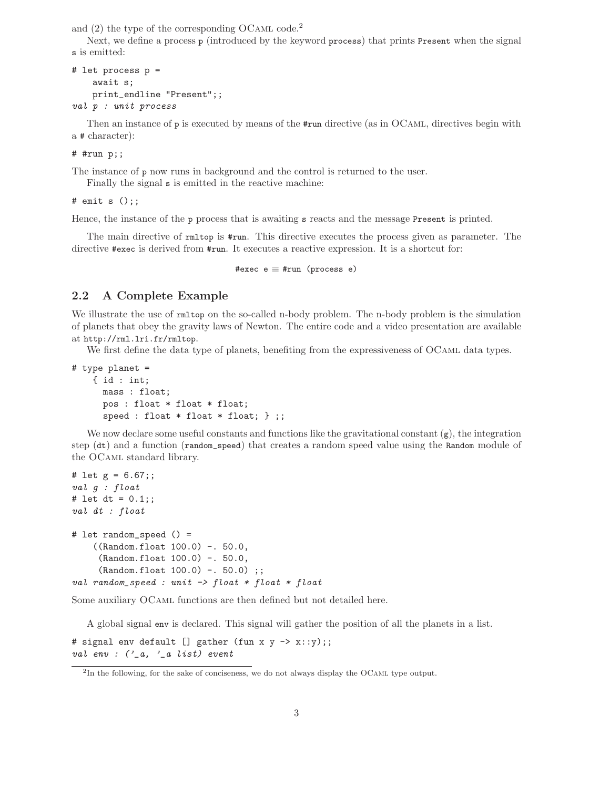and  $(2)$  the type of the corresponding OCAML code.<sup>2</sup>

Next, we define a process p (introduced by the keyword process) that prints Present when the signal s is emitted:

```
# let process p =
    await s;
    print_endline "Present";;
val p : unit process
```
Then an instance of p is executed by means of the  $\#run$  directive (as in OCAML, directives begin with a # character):

#### # #run p;;

The instance of p now runs in background and the control is returned to the user.

Finally the signal s is emitted in the reactive machine:

# emit s  $()$ ;;

Hence, the instance of the p process that is awaiting s reacts and the message Present is printed.

The main directive of rmltop is #run. This directive executes the process given as parameter. The directive #exec is derived from #run. It executes a reactive expression. It is a shortcut for:

#exec e ≡ #run (process e)

## 2.2 A Complete Example

We illustrate the use of  $rmtop$  on the so-called n-body problem. The n-body problem is the simulation of planets that obey the gravity laws of Newton. The entire code and a video presentation are available at http://rml.lri.fr/rmltop.

We first define the data type of planets, benefiting from the expressiveness of OCAML data types.

```
# type planet =
    { id : int;
      mass : float;
      pos : float * float * float;
      speed : float * float * float; } ;;
```
We now declare some useful constants and functions like the gravitational constant  $(g)$ , the integration step (dt) and a function (random\_speed) that creates a random speed value using the Random module of the OCaml standard library.

```
# let g = 6.67;;
val g : float
# let dt = 0.1;;
val dt : float
# let random_speed () =
    ((Random.float 100.0) -. 50.0,
     (Random.float 100.0) -. 50.0,
     (Random.float 100.0) -. 50.0) ;;
val random_speed : unit \rightarrow float * float * float
```
Some auxiliary OCaml functions are then defined but not detailed here.

A global signal env is declared. This signal will gather the position of all the planets in a list.

# signal env default [] gather (fun x y -> x::y);; val env :  $($ '\_a, '\_a list) event

<sup>&</sup>lt;sup>2</sup>In the following, for the sake of conciseness, we do not always display the OCAML type output.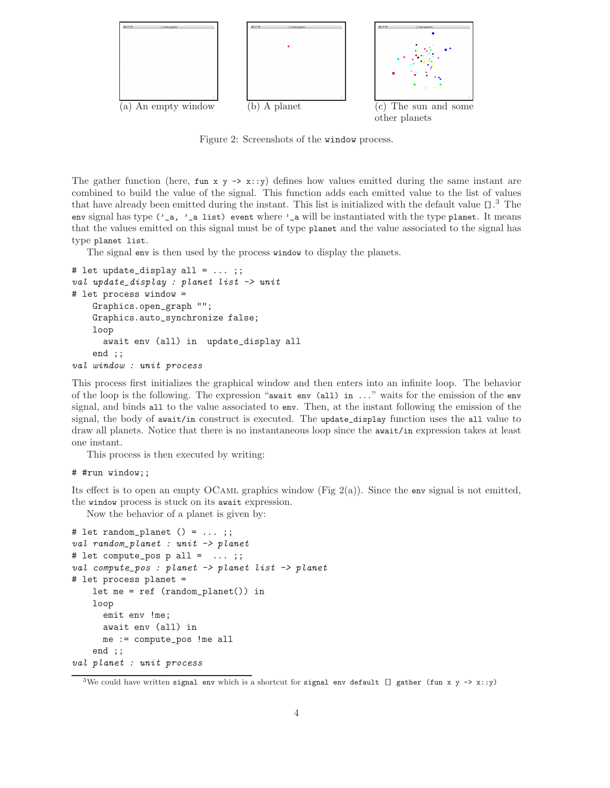

Figure 2: Screenshots of the window process.

The gather function (here,  $fun x y \rightarrow x::y$ ) defines how values emitted during the same instant are combined to build the value of the signal. This function adds each emitted value to the list of values that have already been emitted during the instant. This list is initialized with the default value []. <sup>3</sup> The env signal has type  $('_a, '_a$  list) event where '<sub>c</sub> will be instantiated with the type planet. It means that the values emitted on this signal must be of type planet and the value associated to the signal has type planet list.

The signal env is then used by the process window to display the planets.

```
# let update_display all = \dots;;
val update_display : planet list -> unit
# let process window =
   Graphics.open_graph "";
   Graphics.auto_synchronize false;
   loop
      await env (all) in update_display all
    end ;;
val window : unit process
```
This process first initializes the graphical window and then enters into an infinite loop. The behavior of the loop is the following. The expression "await env (all) in ..." waits for the emission of the env signal, and binds all to the value associated to env. Then, at the instant following the emission of the signal, the body of await/in construct is executed. The update\_display function uses the all value to draw all planets. Notice that there is no instantaneous loop since the await/in expression takes at least one instant.

This process is then executed by writing:

### # #run window;;

Its effect is to open an empty OCAML graphics window (Fig  $2(a)$ ). Since the env signal is not emitted, the window process is stuck on its await expression.

Now the behavior of a planet is given by:

```
# let random_planet () = ...;;
val random_planet : unit -> planet
# let compute_pos p all = \ldots;;
val compute_pos : planet -> planet list -> planet
# let process planet =
   let me = ref (random_planet()) in
   loop
      emit env !me;
      await env (all) in
      me := compute_pos !me all
    end ;;
val planet : unit process
```
<sup>&</sup>lt;sup>3</sup>We could have written signal env which is a shortcut for signal env default [] gather (fun x y -> x::y)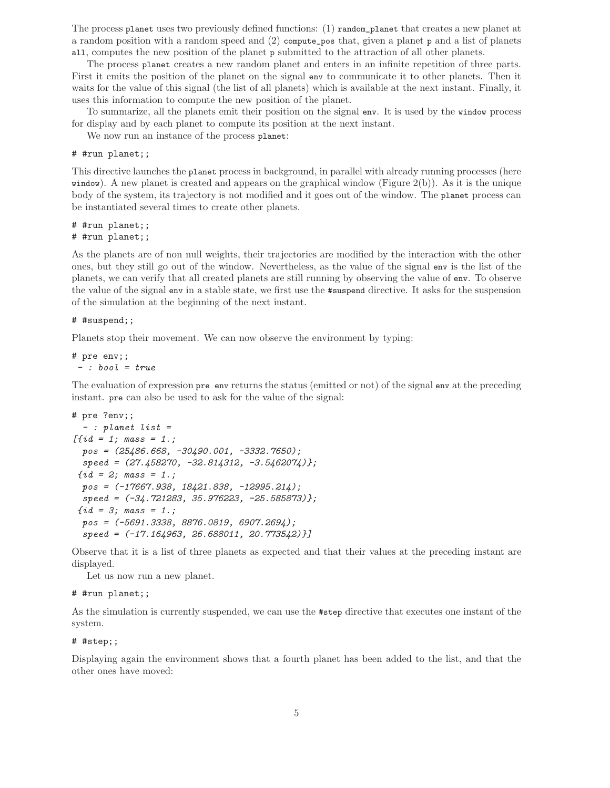The process planet uses two previously defined functions: (1) random\_planet that creates a new planet at a random position with a random speed and (2) compute\_pos that, given a planet p and a list of planets all, computes the new position of the planet p submitted to the attraction of all other planets.

The process planet creates a new random planet and enters in an infinite repetition of three parts. First it emits the position of the planet on the signal env to communicate it to other planets. Then it waits for the value of this signal (the list of all planets) which is available at the next instant. Finally, it uses this information to compute the new position of the planet.

To summarize, all the planets emit their position on the signal env. It is used by the window process for display and by each planet to compute its position at the next instant.

We now run an instance of the process planet:

#### # #run planet;;

This directive launches the planet process in background, in parallel with already running processes (here window). A new planet is created and appears on the graphical window (Figure  $2(b)$ ). As it is the unique body of the system, its trajectory is not modified and it goes out of the window. The planet process can be instantiated several times to create other planets.

# #run planet;; # #run planet;;

As the planets are of non null weights, their trajectories are modified by the interaction with the other ones, but they still go out of the window. Nevertheless, as the value of the signal env is the list of the planets, we can verify that all created planets are still running by observing the value of env. To observe the value of the signal env in a stable state, we first use the #suspend directive. It asks for the suspension of the simulation at the beginning of the next instant.

#### # #suspend;;

Planets stop their movement. We can now observe the environment by typing:

# pre env;;  $-$  : bool =  $true$ 

The evaluation of expression pre env returns the status (emitted or not) of the signal env at the preceding instant. pre can also be used to ask for the value of the signal:

```
# pre ?env;;
  - : planet list =
[{id = 1; mass = 1.;
  pos = (25486.668, -30490.001, -3332.7650);speed = (27.458270, -32.814312, -3.5462074);
 \{id = 2; \; \text{mass} = 1.;
  pos = (-17667.938, 18421.838, -12995.214);
  speed = (-34.721283, 35.976223, -25.585873)};
 \{id = 3; \; \text{mass} = 1.; \;pos = (-5691.3338, 8876.0819, 6907.2694);
  speed = (-17.164963, 26.688011, 20.773542)}]
```
Observe that it is a list of three planets as expected and that their values at the preceding instant are displayed.

Let us now run a new planet.

# #run planet;;

As the simulation is currently suspended, we can use the #step directive that executes one instant of the system.

#### # #step;;

Displaying again the environment shows that a fourth planet has been added to the list, and that the other ones have moved: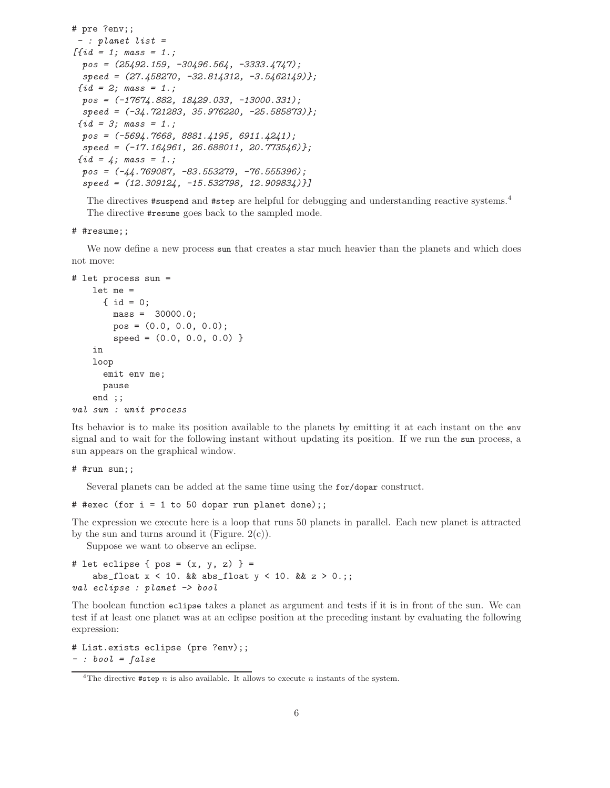```
# pre ?env;;
 - : planet list =
[{id = 1; mass = 1.;
  pos = (25492.159, -30496.564, -3333.4747);speed = (27.458270, -32.814312, -3.5462149);
 \{id = 2; \; \text{mass} = 1.; \}pos = (-17674.882, 18429.033, -13000.331);
  speed = (-34.721283, 35.976220, -25.585873);
 \{id = 3; \; \text{mass} = 1.; \;pos = (-5694.7668, 8881.4195, 6911.4241);
  speed = (-17.164961, 26.688011, 20.773546);
 \{id = 4; \; \text{mass} = 1.; \;pos = (-44.769087, -83.553279, -76.555396);speed = (12.309124, -15.532798, 12.909834)}]
```
The directives **#suspend** and **#step** are helpful for debugging and understanding reactive systems.<sup>4</sup> The directive #resume goes back to the sampled mode.

#### # #resume;;

We now define a new process sun that creates a star much heavier than the planets and which does not move:

```
# let process sun =
    let me =
      { id = 0;
        mass = 30000.0;
        pos = (0.0, 0.0, 0.0);
        speed = (0.0, 0.0, 0.0) }
    in
    loop
      emit env me;
     pause
    end ;;
val sun : unit process
```
Its behavior is to make its position available to the planets by emitting it at each instant on the env signal and to wait for the following instant without updating its position. If we run the sun process, a sun appears on the graphical window.

#### # #run sun;;

Several planets can be added at the same time using the for/dopar construct.

```
# #exec (for i = 1 to 50 dopar run planet done);;
```
The expression we execute here is a loop that runs 50 planets in parallel. Each new planet is attracted by the sun and turns around it (Figure.  $2(c)$ ).

Suppose we want to observe an eclipse.

```
# let eclipse { pos = (x, y, z) } =
    abs_float x < 10. && abs_float y < 10. && z > 0.;;
val eclipse : planet -> bool
```
The boolean function eclipse takes a planet as argument and tests if it is in front of the sun. We can test if at least one planet was at an eclipse position at the preceding instant by evaluating the following expression:

```
# List.exists eclipse (pre ?env);;
-: bool = false
```
<sup>&</sup>lt;sup>4</sup>The directive  $\# \text{step } n$  is also available. It allows to execute n instants of the system.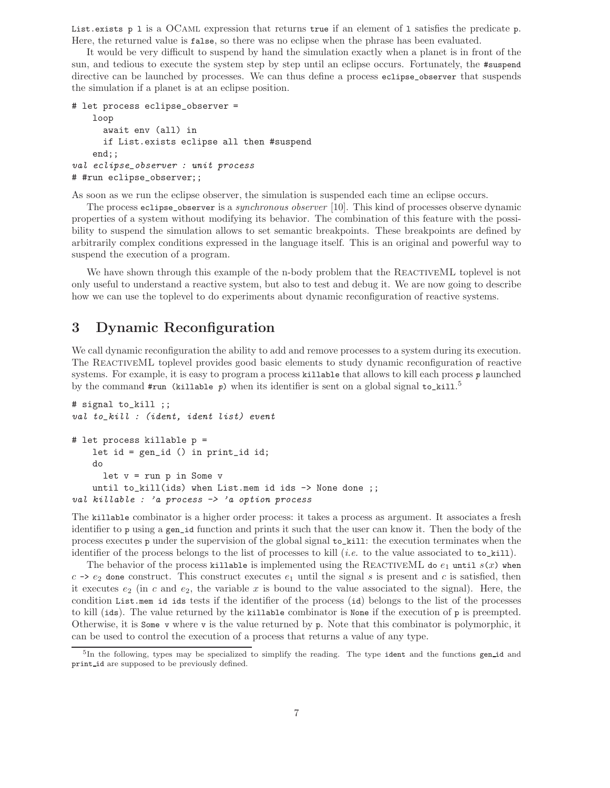List.exists p 1 is a OCAML expression that returns true if an element of 1 satisfies the predicate p. Here, the returned value is false, so there was no eclipse when the phrase has been evaluated.

It would be very difficult to suspend by hand the simulation exactly when a planet is in front of the sun, and tedious to execute the system step by step until an eclipse occurs. Fortunately, the #suspend directive can be launched by processes. We can thus define a process eclipse\_observer that suspends the simulation if a planet is at an eclipse position.

```
# let process eclipse_observer =
   loop
      await env (all) in
      if List.exists eclipse all then #suspend
    end;;
val eclipse_observer : unit process
# #run eclipse_observer;;
```
As soon as we run the eclipse observer, the simulation is suspended each time an eclipse occurs.

The process eclipse\_observer is a synchronous observer [10]. This kind of processes observe dynamic properties of a system without modifying its behavior. The combination of this feature with the possibility to suspend the simulation allows to set semantic breakpoints. These breakpoints are defined by arbitrarily complex conditions expressed in the language itself. This is an original and powerful way to suspend the execution of a program.

We have shown through this example of the n-body problem that the REACTIVEML toplevel is not only useful to understand a reactive system, but also to test and debug it. We are now going to describe how we can use the toplevel to do experiments about dynamic reconfiguration of reactive systems.

# 3 Dynamic Reconfiguration

We call dynamic reconfiguration the ability to add and remove processes to a system during its execution. The ReactiveML toplevel provides good basic elements to study dynamic reconfiguration of reactive systems. For example, it is easy to program a process killable that allows to kill each process  $p$  launched by the command  $#run$  (killable p) when its identifier is sent on a global signal to\_kill.<sup>5</sup>

```
# signal to_kill ;;
val to_kill : (ident, ident list) event
# let process killable p =
   let id = gen_id () in print_id id;
   do
     let v = run p in Some vuntil to_kill(ids) when List.mem id ids -> None done ;;
val killable : 'a process -> 'a option process
```
The killable combinator is a higher order process: it takes a process as argument. It associates a fresh identifier to p using a gen\_id function and prints it such that the user can know it. Then the body of the process executes p under the supervision of the global signal to\_kill: the execution terminates when the identifier of the process belongs to the list of processes to kill (*i.e.* to the value associated to  $\mathbf{t}_0$ **kill**).

The behavior of the process killable is implemented using the REACTIVEML do  $e_1$  until  $s(x)$  when  $c \rightarrow e_2$  done construct. This construct executes  $e_1$  until the signal s is present and c is satisfied, then it executes  $e_2$  (in c and  $e_2$ , the variable x is bound to the value associated to the signal). Here, the condition List.mem id ids tests if the identifier of the process (id) belongs to the list of the processes to kill (ids). The value returned by the killable combinator is None if the execution of p is preempted. Otherwise, it is Some v where v is the value returned by p. Note that this combinator is polymorphic, it can be used to control the execution of a process that returns a value of any type.

<sup>&</sup>lt;sup>5</sup>In the following, types may be specialized to simplify the reading. The type ident and the functions gen\_id and print id are supposed to be previously defined.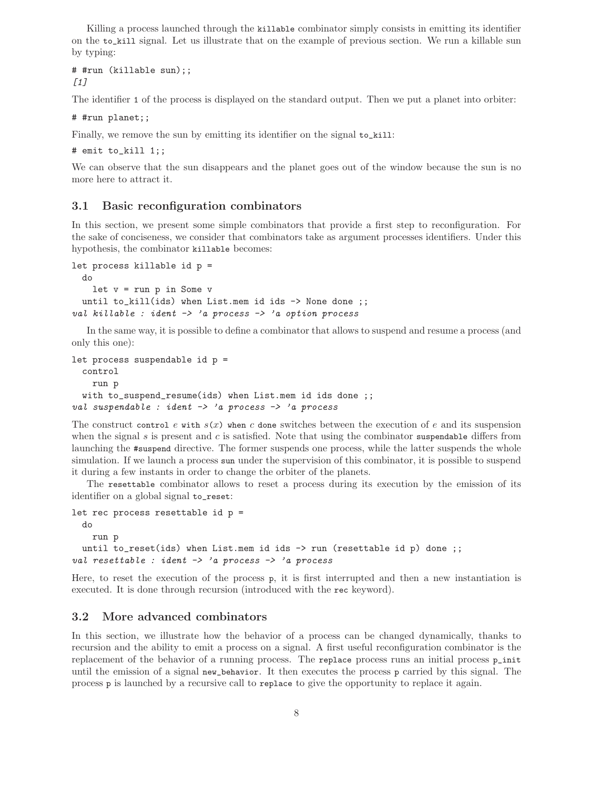Killing a process launched through the killable combinator simply consists in emitting its identifier on the to\_kill signal. Let us illustrate that on the example of previous section. We run a killable sun by typing:

# #run (killable sun);;  $[1]$ 

The identifier 1 of the process is displayed on the standard output. Then we put a planet into orbiter:

# #run planet;;

Finally, we remove the sun by emitting its identifier on the signal to\_kill:

# emit to\_kill 1;;

We can observe that the sun disappears and the planet goes out of the window because the sun is no more here to attract it.

## 3.1 Basic reconfiguration combinators

In this section, we present some simple combinators that provide a first step to reconfiguration. For the sake of conciseness, we consider that combinators take as argument processes identifiers. Under this hypothesis, the combinator killable becomes:

```
let process killable id p =
  do
    let v = run p in Some vuntil to_kill(ids) when List.mem id ids -> None done ;;
val killable : ident \rightarrow 'a process \rightarrow 'a option process
```
In the same way, it is possible to define a combinator that allows to suspend and resume a process (and only this one):

```
let process suspendable id p =
  control
    run p
  with to_suspend_resume(ids) when List.mem id ids done ;;
val suspendable : ident \rightarrow 'a process \rightarrow 'a process
```
The construct control e with  $s(x)$  when c done switches between the execution of e and its suspension when the signal  $s$  is present and  $c$  is satisfied. Note that using the combinator suspendable differs from launching the #suspend directive. The former suspends one process, while the latter suspends the whole simulation. If we launch a process sun under the supervision of this combinator, it is possible to suspend it during a few instants in order to change the orbiter of the planets.

The resettable combinator allows to reset a process during its execution by the emission of its identifier on a global signal to\_reset:

```
let rec process resettable id p =
  do
    run p
  until to_reset(ids) when List.mem id ids \rightarrow run (resettable id p) done ;;
val resettable : ident \rightarrow 'a process \rightarrow 'a process
```
Here, to reset the execution of the process p, it is first interrupted and then a new instantiation is executed. It is done through recursion (introduced with the rec keyword).

## 3.2 More advanced combinators

In this section, we illustrate how the behavior of a process can be changed dynamically, thanks to recursion and the ability to emit a process on a signal. A first useful reconfiguration combinator is the replacement of the behavior of a running process. The replace process runs an initial process p\_init until the emission of a signal new\_behavior. It then executes the process p carried by this signal. The process p is launched by a recursive call to replace to give the opportunity to replace it again.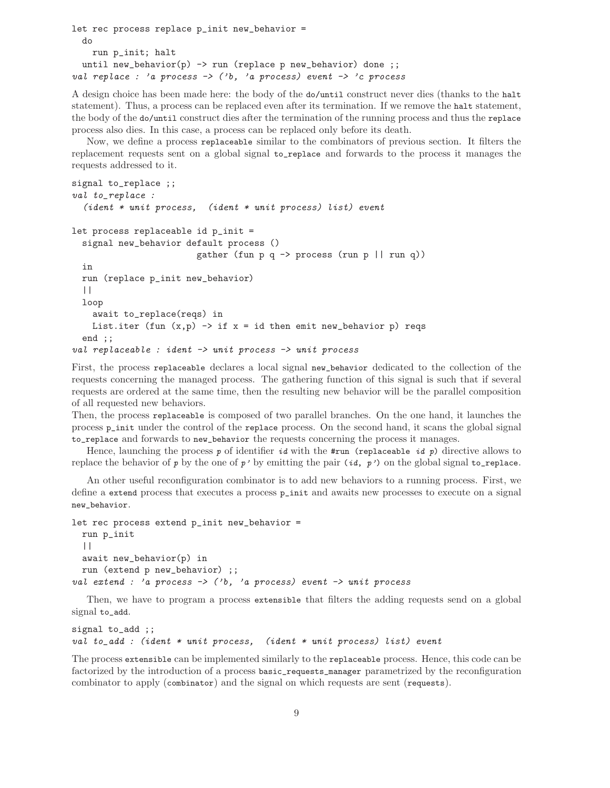```
let rec process replace p_init new_behavior =
  do
    run p_init; halt
  until new_behavior(p) \rightarrow run (replace p new_behavior) done ;;
val replace : 'a process \rightarrow ('b, 'a process) event \rightarrow 'c process
```
A design choice has been made here: the body of the do/until construct never dies (thanks to the halt statement). Thus, a process can be replaced even after its termination. If we remove the halt statement, the body of the do/until construct dies after the termination of the running process and thus the replace process also dies. In this case, a process can be replaced only before its death.

Now, we define a process replaceable similar to the combinators of previous section. It filters the replacement requests sent on a global signal to\_replace and forwards to the process it manages the requests addressed to it.

```
signal to_replace ;;
val to_replace :
  (ident * unit process, (ident * unit process) list) event
let process replaceable id p_init =
  signal new_behavior default process ()
                          gather (fun p q \rightarrow process (run p || run q))
  in
  run (replace p_init new_behavior)
  | \cdot |loop
    await to_replace(reqs) in
    List.iter (fun (x,p) \rightarrow if x = id then emit new_behavior p) reqs
  end ;;
val replaceable : ident \rightarrow unit process \rightarrow unit process
```
First, the process replaceable declares a local signal new\_behavior dedicated to the collection of the requests concerning the managed process. The gathering function of this signal is such that if several requests are ordered at the same time, then the resulting new behavior will be the parallel composition of all requested new behaviors.

Then, the process replaceable is composed of two parallel branches. On the one hand, it launches the process p\_init under the control of the replace process. On the second hand, it scans the global signal to\_replace and forwards to new\_behavior the requests concerning the process it manages.

Hence, launching the process p of identifier id with the #run (replaceable id p) directive allows to replace the behavior of p by the one of p' by emitting the pair  $(id, p')$  on the global signal to\_replace.

An other useful reconfiguration combinator is to add new behaviors to a running process. First, we define a extend process that executes a process p\_init and awaits new processes to execute on a signal new\_behavior.

```
let rec process extend p_init new_behavior =
  run p_init
  | \ |await new_behavior(p) in
  run (extend p new_behavior) ;;
val extend : 'a process \rightarrow ('b, 'a process) event \rightarrow unit process
```
Then, we have to program a process extensible that filters the adding requests send on a global signal to\_add.

```
signal to_add ;;
val to_add : (ident * unit process, (ident * unit process) list) event
```
The process extensible can be implemented similarly to the replaceable process. Hence, this code can be factorized by the introduction of a process basic\_requests\_manager parametrized by the reconfiguration combinator to apply (combinator) and the signal on which requests are sent (requests).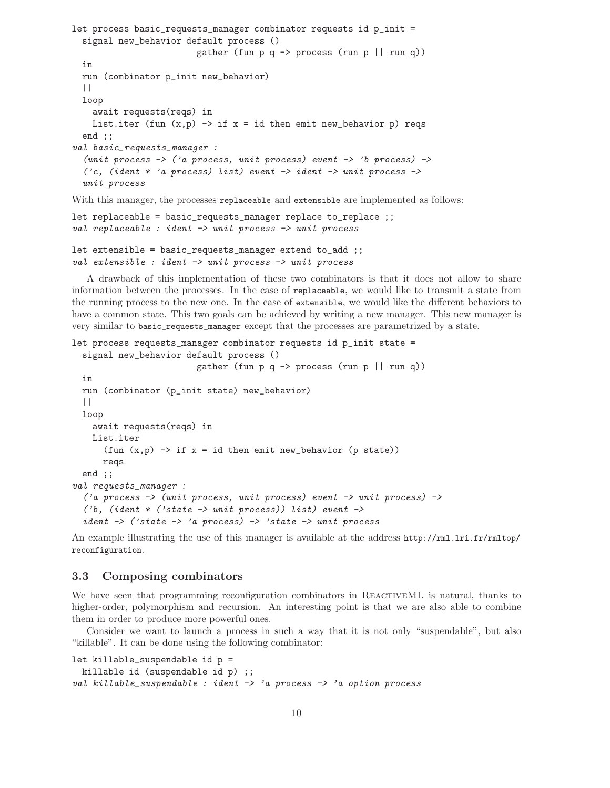```
let process basic_requests_manager combinator requests id p_init =
  signal new_behavior default process ()
                            gather (fun p q \rightarrow process (run p || run q))
  in
  run (combinator p_init new_behavior)
  | \ |loop
    await requests(reqs) in
    List.iter (fun (x,p) \rightarrow if x = id then emit new_behavior p) reqs
  end ;;
val basic_requests_manager :
  (unit process \rightarrow ('a process, unit process) event \rightarrow 'b process) \rightarrow('c, (ident * 'a process) list) event \rightarrow ident \rightarrow unit process \rightarrowunit process
```
With this manager, the processes replaceable and extensible are implemented as follows:

```
let replaceable = basic_requests_manager replace to_replace ;;
val replaceable : ident -> unit process -> unit process
```

```
let extensible = basic_requests_manager extend to_add ;;
val extensible : ident -> unit process -> unit process
```
A drawback of this implementation of these two combinators is that it does not allow to share information between the processes. In the case of replaceable, we would like to transmit a state from the running process to the new one. In the case of extensible, we would like the different behaviors to have a common state. This two goals can be achieved by writing a new manager. This new manager is very similar to basic\_requests\_manager except that the processes are parametrized by a state.

```
let process requests_manager combinator requests id p_init state =
  signal new_behavior default process ()
                         gather (fun p q -> process (run p || run q))
  in
  run (combinator (p_init state) new_behavior)
  | \ |loop
    await requests(reqs) in
    List.iter
      (fun (x,p) \rightarrow if x = id then emit new_behavier (p state))
      reqs
  end ;;
val requests_manager :
  ('a process -> (unit process, unit process) event -> unit process) ->
  ('b, (ident * ('state -> unit process)) list) event ->ident \rightarrow ('state -> 'a process) -> 'state -> unit process
```
An example illustrating the use of this manager is available at the address http://rml.lri.fr/rmltop/ reconfiguration.

# 3.3 Composing combinators

We have seen that programming reconfiguration combinators in REACTIVEML is natural, thanks to higher-order, polymorphism and recursion. An interesting point is that we are also able to combine them in order to produce more powerful ones.

Consider we want to launch a process in such a way that it is not only "suspendable", but also "killable". It can be done using the following combinator:

```
let killable_suspendable id p =
 killable id (suspendable id p) ;;
val killable_suspendable : ident -> 'a process -> 'a option process
```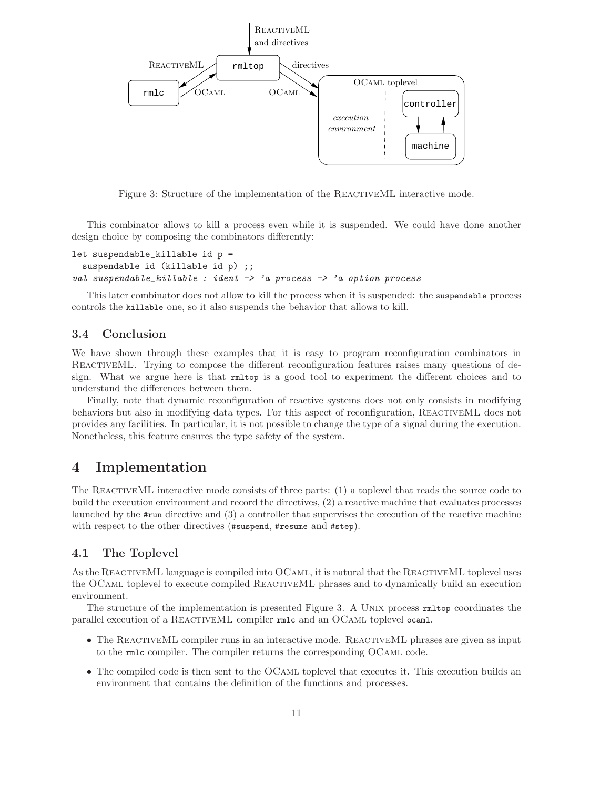

Figure 3: Structure of the implementation of the REACTIVEML interactive mode.

This combinator allows to kill a process even while it is suspended. We could have done another design choice by composing the combinators differently:

```
let suspendable_killable id p =
  suspendable id (killable id p) ;;
val suspendable_killable : ident \rightarrow 'a process \rightarrow 'a option process
```
This later combinator does not allow to kill the process when it is suspended: the suspendable process controls the killable one, so it also suspends the behavior that allows to kill.

## 3.4 Conclusion

We have shown through these examples that it is easy to program reconfiguration combinators in REACTIVEML. Trying to compose the different reconfiguration features raises many questions of design. What we argue here is that rmltop is a good tool to experiment the different choices and to understand the differences between them.

Finally, note that dynamic reconfiguration of reactive systems does not only consists in modifying behaviors but also in modifying data types. For this aspect of reconfiguration, REACTIVEML does not provides any facilities. In particular, it is not possible to change the type of a signal during the execution. Nonetheless, this feature ensures the type safety of the system.

## 4 Implementation

The REACTIVEML interactive mode consists of three parts: (1) a toplevel that reads the source code to build the execution environment and record the directives, (2) a reactive machine that evaluates processes launched by the #run directive and (3) a controller that supervises the execution of the reactive machine with respect to the other directives (#suspend, #resume and #step).

## 4.1 The Toplevel

As the REACTIVEML language is compiled into OCAML, it is natural that the REACTIVEML toplevel uses the OCaml toplevel to execute compiled ReactiveML phrases and to dynamically build an execution environment.

The structure of the implementation is presented Figure 3. A Unix process rmltop coordinates the parallel execution of a ReactiveML compiler rmlc and an OCaml toplevel ocaml.

- The REACTIVEML compiler runs in an interactive mode. REACTIVEML phrases are given as input to the rmlc compiler. The compiler returns the corresponding OCaml code.
- The compiled code is then sent to the OCAML toplevel that executes it. This execution builds an environment that contains the definition of the functions and processes.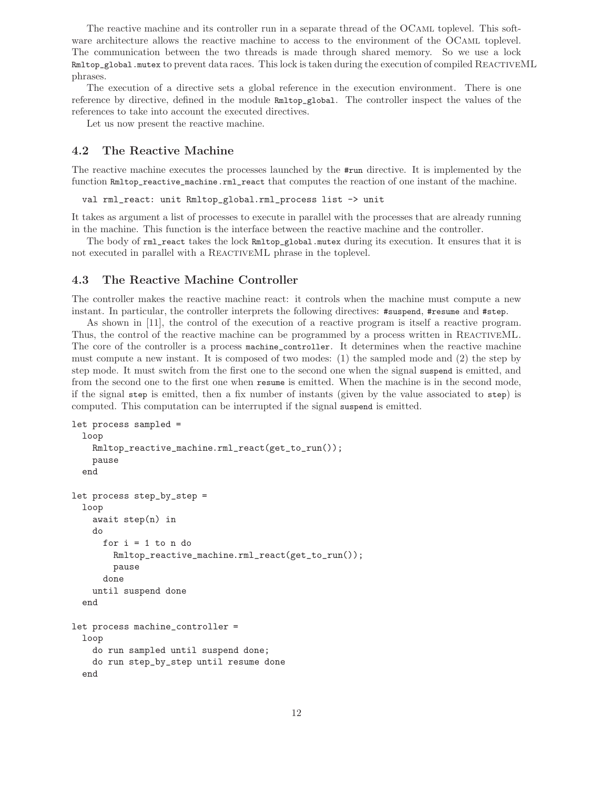The reactive machine and its controller run in a separate thread of the OCaml toplevel. This software architecture allows the reactive machine to access to the environment of the OCAML toplevel. The communication between the two threads is made through shared memory. So we use a lock Rmltop\_global.mutex to prevent data races. This lock is taken during the execution of compiled ReactiveML phrases.

The execution of a directive sets a global reference in the execution environment. There is one reference by directive, defined in the module Rmltop\_global. The controller inspect the values of the references to take into account the executed directives.

Let us now present the reactive machine.

## 4.2 The Reactive Machine

The reactive machine executes the processes launched by the #run directive. It is implemented by the function Rmltop\_reactive\_machine.rml\_react that computes the reaction of one instant of the machine.

val rml\_react: unit Rmltop\_global.rml\_process list -> unit

It takes as argument a list of processes to execute in parallel with the processes that are already running in the machine. This function is the interface between the reactive machine and the controller.

The body of rml\_react takes the lock Rmltop\_global.mutex during its execution. It ensures that it is not executed in parallel with a REACTIVEML phrase in the toplevel.

## 4.3 The Reactive Machine Controller

The controller makes the reactive machine react: it controls when the machine must compute a new instant. In particular, the controller interprets the following directives: #suspend, #resume and #step.

As shown in [11], the control of the execution of a reactive program is itself a reactive program. Thus, the control of the reactive machine can be programmed by a process written in REACTIVEML. The core of the controller is a process machine\_controller. It determines when the reactive machine must compute a new instant. It is composed of two modes: (1) the sampled mode and (2) the step by step mode. It must switch from the first one to the second one when the signal suspend is emitted, and from the second one to the first one when resume is emitted. When the machine is in the second mode, if the signal step is emitted, then a fix number of instants (given by the value associated to step) is computed. This computation can be interrupted if the signal suspend is emitted.

```
let process sampled =
  loop
    Rmltop_reactive_machine.rml_react(get_to_run());
    pause
  end
let process step_by_step =
  loop
    await step(n) in
    do
      for i = 1 to n do
        Rmltop_reactive_machine.rml_react(get_to_run());
        pause
      done
    until suspend done
  end
let process machine_controller =
  loop
    do run sampled until suspend done;
    do run step_by_step until resume done
  end
```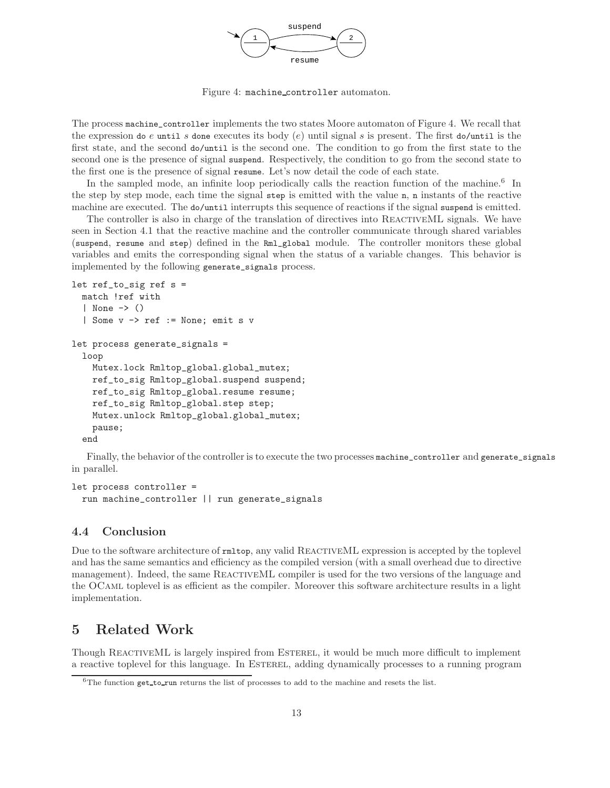

Figure 4: machine controller automaton.

The process machine\_controller implements the two states Moore automaton of Figure 4. We recall that the expression do e until s done executes its body  $(e)$  until signal s is present. The first do/until is the first state, and the second do/until is the second one. The condition to go from the first state to the second one is the presence of signal suspend. Respectively, the condition to go from the second state to the first one is the presence of signal resume. Let's now detail the code of each state.

In the sampled mode, an infinite loop periodically calls the reaction function of the machine.<sup>6</sup> In the step by step mode, each time the signal step is emitted with the value n, n instants of the reactive machine are executed. The do/until interrupts this sequence of reactions if the signal suspend is emitted.

The controller is also in charge of the translation of directives into REACTIVEML signals. We have seen in Section 4.1 that the reactive machine and the controller communicate through shared variables (suspend, resume and step) defined in the Rml\_global module. The controller monitors these global variables and emits the corresponding signal when the status of a variable changes. This behavior is implemented by the following generate\_signals process.

```
let ref_to_sig ref s =
 match !ref with
  | None -> ()
  | Some v -> ref := None; emit s v
let process generate_signals =
  loop
   Mutex.lock Rmltop_global.global_mutex;
   ref_to_sig Rmltop_global.suspend suspend;
   ref_to_sig Rmltop_global.resume resume;
   ref_to_sig Rmltop_global.step step;
   Mutex.unlock Rmltop_global.global_mutex;
   pause;
  end
```
Finally, the behavior of the controller is to execute the two processes machine\_controller and generate\_signals in parallel.

```
let process controller =
  run machine_controller || run generate_signals
```
## 4.4 Conclusion

Due to the software architecture of  $rmttop$ , any valid REACTIVEML expression is accepted by the toplevel and has the same semantics and efficiency as the compiled version (with a small overhead due to directive management). Indeed, the same REACTIVEML compiler is used for the two versions of the language and the OCaml toplevel is as efficient as the compiler. Moreover this software architecture results in a light implementation.

# 5 Related Work

Though REACTIVEML is largely inspired from ESTEREL, it would be much more difficult to implement a reactive toplevel for this language. In Esterel, adding dynamically processes to a running program

 $6$ The function get\_to\_run returns the list of processes to add to the machine and resets the list.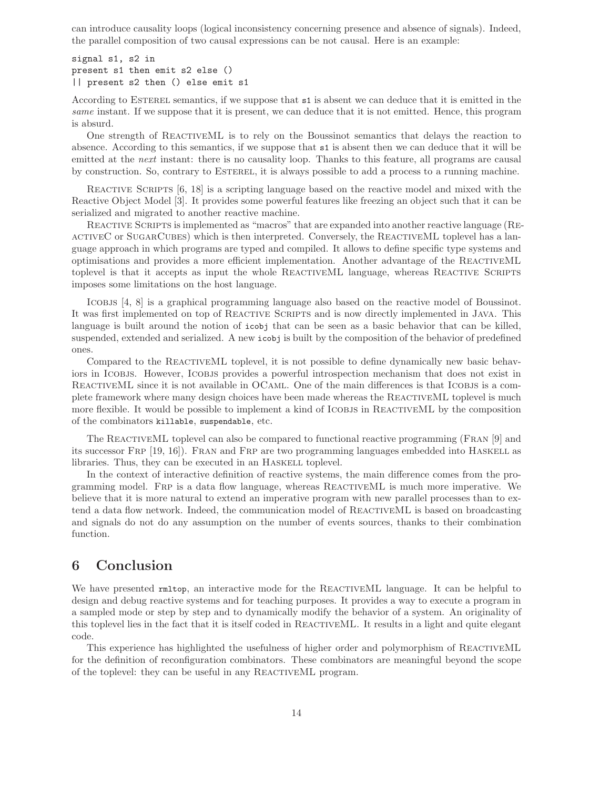can introduce causality loops (logical inconsistency concerning presence and absence of signals). Indeed, the parallel composition of two causal expressions can be not causal. Here is an example:

signal s1, s2 in present s1 then emit s2 else () || present s2 then () else emit s1

According to Esterel semantics, if we suppose that s1 is absent we can deduce that it is emitted in the same instant. If we suppose that it is present, we can deduce that it is not emitted. Hence, this program is absurd.

One strength of ReactiveML is to rely on the Boussinot semantics that delays the reaction to absence. According to this semantics, if we suppose that s1 is absent then we can deduce that it will be emitted at the *next* instant: there is no causality loop. Thanks to this feature, all programs are causal by construction. So, contrary to Esterel, it is always possible to add a process to a running machine.

Reactive Scripts [6, 18] is a scripting language based on the reactive model and mixed with the Reactive Object Model [3]. It provides some powerful features like freezing an object such that it can be serialized and migrated to another reactive machine.

REACTIVE SCRIPTS is implemented as "macros" that are expanded into another reactive language (REactiveC or SugarCubes) which is then interpreted. Conversely, the ReactiveML toplevel has a language approach in which programs are typed and compiled. It allows to define specific type systems and optimisations and provides a more efficient implementation. Another advantage of the ReactiveML toplevel is that it accepts as input the whole REACTIVEML language, whereas REACTIVE SCRIPTS imposes some limitations on the host language.

Icobjs [4, 8] is a graphical programming language also based on the reactive model of Boussinot. It was first implemented on top of REACTIVE SCRIPTS and is now directly implemented in JAVA. This language is built around the notion of icobj that can be seen as a basic behavior that can be killed, suspended, extended and serialized. A new icobj is built by the composition of the behavior of predefined ones.

Compared to the REACTIVEML toplevel, it is not possible to define dynamically new basic behaviors in ICOBJS. However, ICOBJS provides a powerful introspection mechanism that does not exist in REACTIVEML since it is not available in OCAML. One of the main differences is that ICOBJS is a complete framework where many design choices have been made whereas the ReactiveML toplevel is much more flexible. It would be possible to implement a kind of ICOBJS in REACTIVEML by the composition of the combinators killable, suspendable, etc.

The ReactiveML toplevel can also be compared to functional reactive programming (Fran [9] and its successor Frp [19, 16]). Fran and Frp are two programming languages embedded into Haskell as libraries. Thus, they can be executed in an HASKELL toplevel.

In the context of interactive definition of reactive systems, the main difference comes from the programming model. Frp is a data flow language, whereas ReactiveML is much more imperative. We believe that it is more natural to extend an imperative program with new parallel processes than to extend a data flow network. Indeed, the communication model of ReactiveML is based on broadcasting and signals do not do any assumption on the number of events sources, thanks to their combination function.

# 6 Conclusion

We have presented rmltop, an interactive mode for the REACTIVEML language. It can be helpful to design and debug reactive systems and for teaching purposes. It provides a way to execute a program in a sampled mode or step by step and to dynamically modify the behavior of a system. An originality of this toplevel lies in the fact that it is itself coded in ReactiveML. It results in a light and quite elegant code.

This experience has highlighted the usefulness of higher order and polymorphism of ReactiveML for the definition of reconfiguration combinators. These combinators are meaningful beyond the scope of the toplevel: they can be useful in any ReactiveML program.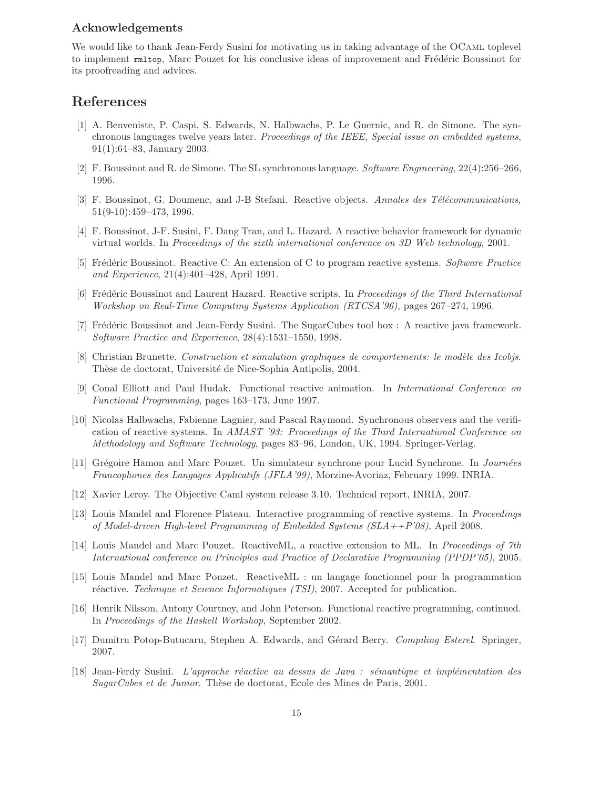## Acknowledgements

We would like to thank Jean-Ferdy Susini for motivating us in taking advantage of the OCAML toplevel to implement rmltop, Marc Pouzet for his conclusive ideas of improvement and Frédéric Boussinot for its proofreading and advices.

# References

- [1] A. Benveniste, P. Caspi, S. Edwards, N. Halbwachs, P. Le Guernic, and R. de Simone. The synchronous languages twelve years later. Proceedings of the IEEE, Special issue on embedded systems, 91(1):64–83, January 2003.
- [2] F. Boussinot and R. de Simone. The SL synchronous language. Software Engineering, 22(4):256–266, 1996.
- [3] F. Boussinot, G. Doumenc, and J-B Stefani. Reactive objects. Annales des Télécommunications, 51(9-10):459–473, 1996.
- [4] F. Boussinot, J-F. Susini, F. Dang Tran, and L. Hazard. A reactive behavior framework for dynamic virtual worlds. In Proceedings of the sixth international conference on 3D Web technology, 2001.
- [5] Frédéric Boussinot. Reactive C: An extension of C to program reactive systems. Software Practice and Experience, 21(4):401–428, April 1991.
- [6] Frédéric Boussinot and Laurent Hazard. Reactive scripts. In *Proceedings of the Third International* Workshop on Real-Time Computing Systems Application (RTCSA'96), pages 267–274, 1996.
- [7] Frédéric Boussinot and Jean-Ferdy Susini. The SugarCubes tool box : A reactive java framework. Software Practice and Experience, 28(4):1531–1550, 1998.
- [8] Christian Brunette. Construction et simulation graphiques de comportements: le modèle des Icobjs. Thèse de doctorat, Université de Nice-Sophia Antipolis, 2004.
- [9] Conal Elliott and Paul Hudak. Functional reactive animation. In International Conference on Functional Programming, pages 163–173, June 1997.
- [10] Nicolas Halbwachs, Fabienne Lagnier, and Pascal Raymond. Synchronous observers and the verification of reactive systems. In AMAST '93: Proceedings of the Third International Conference on Methodology and Software Technology, pages 83–96, London, UK, 1994. Springer-Verlag.
- [11] Grégoire Hamon and Marc Pouzet. Un simulateur synchrone pour Lucid Synchrone. In *Journées* Francophones des Langages Applicatifs (JFLA'99), Morzine-Avoriaz, February 1999. INRIA.
- [12] Xavier Leroy. The Objective Caml system release 3.10. Technical report, INRIA, 2007.
- [13] Louis Mandel and Florence Plateau. Interactive programming of reactive systems. In Proceedings of Model-driven High-level Programming of Embedded Systems  $(SLA + P'08)$ , April 2008.
- [14] Louis Mandel and Marc Pouzet. ReactiveML, a reactive extension to ML. In Proceedings of 7th International conference on Principles and Practice of Declarative Programming (PPDP'05), 2005.
- [15] Louis Mandel and Marc Pouzet. ReactiveML : un langage fonctionnel pour la programmation réactive. Technique et Science Informatiques (TSI), 2007. Accepted for publication.
- [16] Henrik Nilsson, Antony Courtney, and John Peterson. Functional reactive programming, continued. In Proceedings of the Haskell Workshop, September 2002.
- [17] Dumitru Potop-Butucaru, Stephen A. Edwards, and Gérard Berry. Compiling Esterel. Springer, 2007.
- [18] Jean-Ferdy Susini. L'approche réactive au dessus de Java : sémantique et implémentation des SugarCubes et de Junior. Thèse de doctorat, Ecole des Mines de Paris, 2001.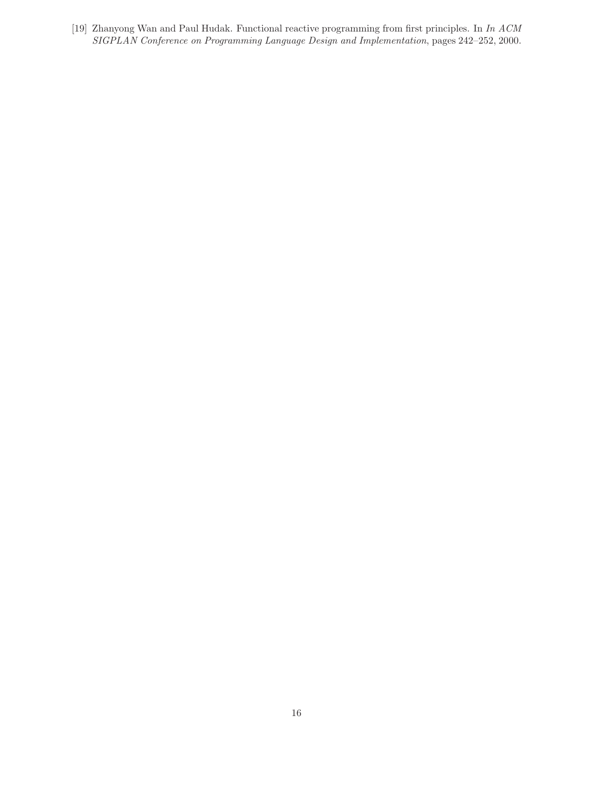[19] Zhanyong Wan and Paul Hudak. Functional reactive programming from first principles. In In ACM SIGPLAN Conference on Programming Language Design and Implementation, pages 242–252, 2000.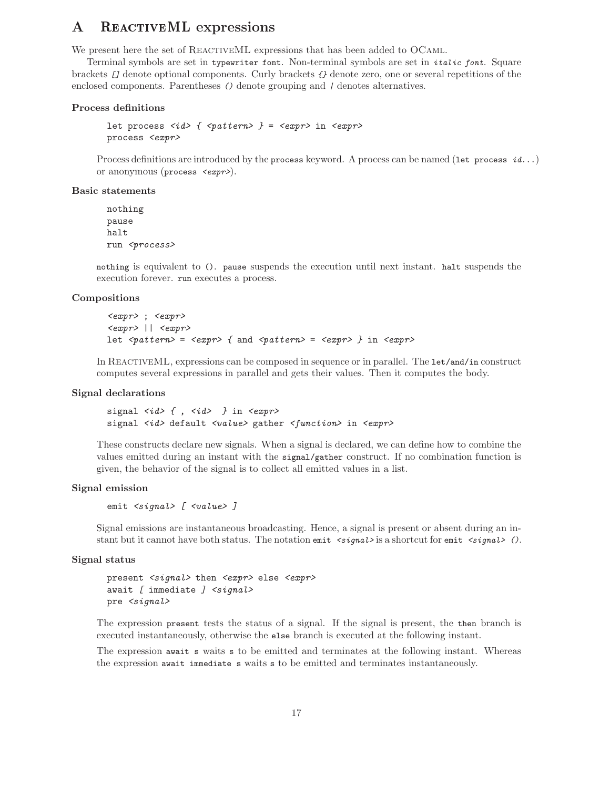# A REACTIVEML expressions

We present here the set of REACTIVEML expressions that has been added to OCAML.

Terminal symbols are set in typewriter font. Non-terminal symbols are set in italic font. Square brackets [] denote optional components. Curly brackets {} denote zero, one or several repetitions of the enclosed components. Parentheses () denote grouping and / denotes alternatives.

### Process definitions

```
let process \langle id \rangle { \langle pattern \rangle } = \langle expr \rangle in \langle expr \rangleprocess <expr>
```
Process definitions are introduced by the process keyword. A process can be named (let process  $id...$ ) or anonymous (process <expr>).

## Basic statements

nothing pause halt run <process>

nothing is equivalent to (). pause suspends the execution until next instant. halt suspends the execution forever. run executes a process.

#### Compositions

```
<expr> ; <expr>
\langle expr \rangle || \langle expr \ranglelet \langle pattern \rangle = \langle expr \rangle { and \langle pattern \rangle = \langle expr \rangle } in \langle expr \rangle
```
In REACTIVEML, expressions can be composed in sequence or in parallel. The let/and/in construct computes several expressions in parallel and gets their values. Then it computes the body.

## Signal declarations

```
signal \langle id \rangle { , \langle id \rangle } in \langle expr \ranglesignal <id> default <value> gather <function> in <expr>
```
These constructs declare new signals. When a signal is declared, we can define how to combine the values emitted during an instant with the signal/gather construct. If no combination function is given, the behavior of the signal is to collect all emitted values in a list.

## Signal emission

emit <signal> [ <value> ]

Signal emissions are instantaneous broadcasting. Hence, a signal is present or absent during an instant but it cannot have both status. The notation emit  $\langle signal \rangle$  is a shortcut for emit  $\langle signal \rangle$ .

#### Signal status

```
present <signal> then <expr> else <expr>
await \int immediate \int <signal>
pre <signal>
```
The expression present tests the status of a signal. If the signal is present, the then branch is executed instantaneously, otherwise the else branch is executed at the following instant.

The expression await s waits s to be emitted and terminates at the following instant. Whereas the expression await immediate s waits s to be emitted and terminates instantaneously.